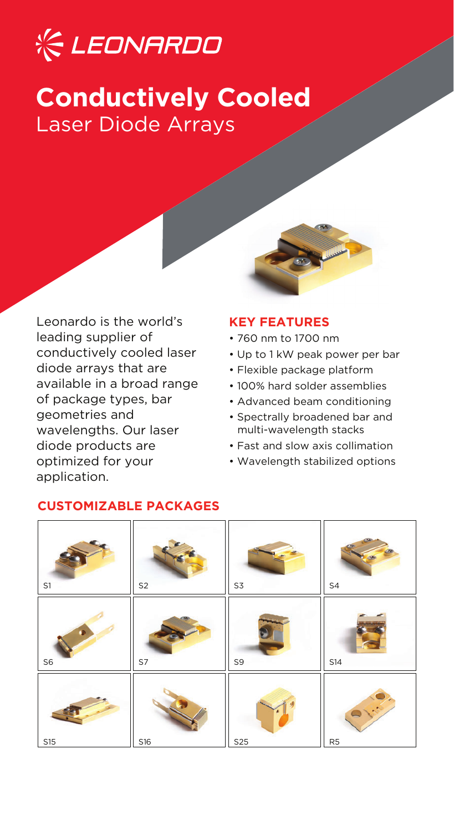# **K LEONARDO**

## **Conductively Cooled** Laser Diode Arrays

Leonardo is the world's leading supplier of conductively cooled laser diode arrays that are available in a broad range of package types, bar geometries and wavelengths. Our laser diode products are optimized for your application.

#### **KEY FEATURES**

- 760 nm to 1700 nm
- Up to 1 kW peak power per bar
- Flexible package platform
- 100% hard solder assemblies
- Advanced beam conditioning
- Spectrally broadened bar and multi-wavelength stacks
- Fast and slow axis collimation
- Wavelength stabilized options

| S1         | S <sub>2</sub> | S3  | ${\sf S4}$ |
|------------|----------------|-----|------------|
| ${\sf S6}$ | S7             | S9  | <b>S14</b> |
| S15        | S16            | S25 | R5         |

### **CUSTOMIZABLE PACKAGES**